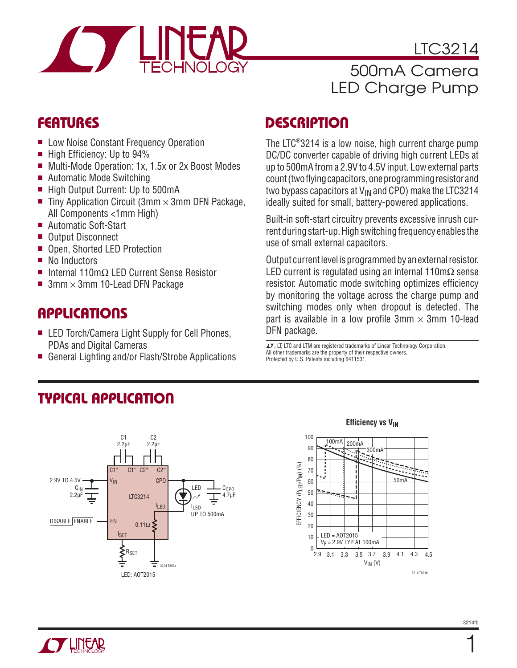

LTC3214 500mA Camera LED Charge Pump

# **FEATURES**

- **E** Low Noise Constant Frequency Operation
- $\blacksquare$  High Efficiency: Up to 94%
- Multi-Mode Operation: 1x, 1.5x or 2x Boost Modes
- Automatic Mode Switching
- High Output Current: Up to 500mA
- Tiny Application Circuit (3mm  $\times$  3mm DFN Package, All Components <1mm High)
- Automatic Soft-Start
- Output Disconnect
- Open, Shorted LED Protection
- $\blacksquare$  No Inductors
- Internal 110m $Ω$  LED Current Sense Resistor
- **3mm**  $\times$  **3mm 10-Lead DFN Package**

**TYPICAL APPLICATION**

### **APPLICATIONS**

- **EXECUTE:** LED Torch/Camera Light Supply for Cell Phones, PDAs and Digital Cameras
- General Lighting and/or Flash/Strobe Applications

# **DESCRIPTION**

The LTC®3214 is a low noise, high current charge pump DC/DC converter capable of driving high current LEDs at up to 500mA from a 2.9V to 4.5V input. Low external parts count (two flying capacitors, one programming resistor and two bypass capacitors at  $V_{IN}$  and CPO) make the LTC3214 ideally suited for small, battery-powered applications.

Built-in soft-start circuitry prevents excessive inrush current during start-up. High switching frequency enables the use of small external capacitors.

Output current level is programmed by an external resistor. LED current is regulated using an internal  $110 \text{m}\Omega$  sense resistor. Automatic mode switching optimizes efficiency by monitoring the voltage across the charge pump and switching modes only when dropout is detected. The part is available in a low profile 3mm  $\times$  3mm 10-lead DFN package.

 $LT$ , LT, LTC and LTM are registered trademarks of Linear Technology Corporation. All other trademarks are the property of their respective owners. Protected by U.S. Patents including 6411531.



### **Efficiency vs V<sub>IN</sub>**



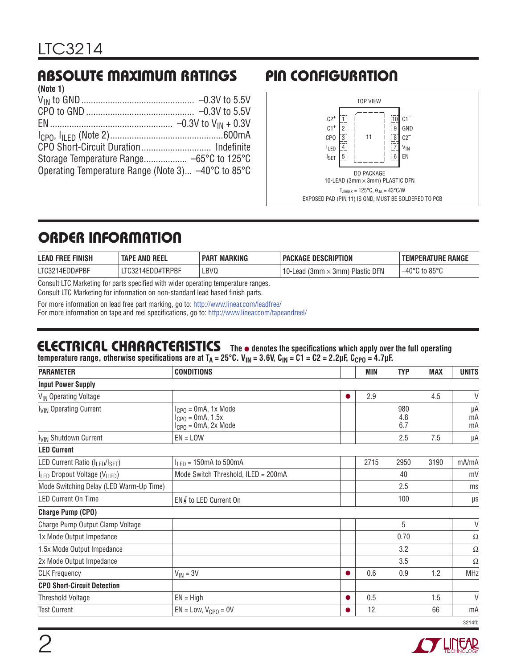#### **ABSOLUTE MAXIMUM RATINGS PIN CONFIGURATION (Note 1)**

| $\left\{11\right\}$ $\left\{11\right\}$                                 |  |
|-------------------------------------------------------------------------|--|
|                                                                         |  |
|                                                                         |  |
|                                                                         |  |
|                                                                         |  |
|                                                                         |  |
|                                                                         |  |
| Operating Temperature Range (Note 3) $-40^{\circ}$ C to 85 $^{\circ}$ C |  |
|                                                                         |  |



# **ORDER INFORMATION**

| <b>FINISH</b><br><b>LEAD</b><br><b>FREE</b> | <b>AND</b><br><b>REEL</b><br>TAP <sup>®</sup> | <b>MARKING</b><br><b>PAR</b> | : DESCRIPTION<br><b>PACKAGL</b>                    | <b>RANGE</b><br>EMPERATURE       |
|---------------------------------------------|-----------------------------------------------|------------------------------|----------------------------------------------------|----------------------------------|
| LTC3214EDD#PBF                              | <b>RPBF</b><br>C3214EDD#                      | LBVQ                         | <b>Plastic DFN</b><br>3mm<br>∟ead<br>'3mm<br>- 1 6 | ., to 85°C $\,$<br>$-40^{\circ}$ |

Consult LTC Marketing for parts specified with wider operating temperature ranges.

Consult LTC Marketing for information on non-standard lead based finish parts.

For more information on lead free part marking, go to: http://www.linear.com/leadfree/

For more information on tape and reel specifications, go to: http://www.linear.com/tapeandreel/

# **ELECTRICAL CHARACTERISTICS** The  $\bullet$  denotes the specifications which apply over the full operating

**temperature range, otherwise specifications are at**  $T_A = 25^{\circ}C$ **.**  $V_{1N} = 3.6V$ **,**  $C_{1N} = C1 = C2 = 2.2\mu$ **F,**  $C_{CP0} = 4.7\mu$ **F.** 

| <b>PARAMETER</b>                                      | <b>CONDITIONS</b>                                                               |           | <b>MIN</b> | <b>TYP</b>        | <b>MAX</b> | <b>UNITS</b>   |
|-------------------------------------------------------|---------------------------------------------------------------------------------|-----------|------------|-------------------|------------|----------------|
| <b>Input Power Supply</b>                             |                                                                                 |           |            |                   |            |                |
| V <sub>IN</sub> Operating Voltage                     |                                                                                 | $\bullet$ | 2.9        |                   | 4.5        | V              |
| <b>I<sub>VIN</sub></b> Operating Current              | $I_{CPO} = 0$ mA, 1x Mode<br>$I_{CPO} = 0mA, 1.5x$<br>$l_{CPO} = 0$ mA, 2x Mode |           |            | 980<br>4.8<br>6.7 |            | μA<br>mA<br>mA |
| I <sub>VIN</sub> Shutdown Current                     | $EN = LOW$                                                                      |           |            | 2.5               | 7.5        | μA             |
| <b>LED Current</b>                                    |                                                                                 |           |            |                   |            |                |
| LED Current Ratio (ILED/ISET)                         | $I_{IFD} = 150 \text{mA}$ to 500 mA                                             |           | 2715       | 2950              | 3190       | mA/mA          |
| I <sub>LED</sub> Dropout Voltage (V <sub>ILED</sub> ) | Mode Switch Threshold, ILED = 200mA                                             |           |            | 40                |            | mV             |
| Mode Switching Delay (LED Warm-Up Time)               |                                                                                 |           |            | 2.5               |            | ms             |
| <b>LED Current On Time</b>                            | EN√ to LED Current On                                                           |           |            | 100               |            | μs             |
| Charge Pump (CPO)                                     |                                                                                 |           |            |                   |            |                |
| Charge Pump Output Clamp Voltage                      |                                                                                 |           |            | 5                 |            | V              |
| 1x Mode Output Impedance                              |                                                                                 |           |            | 0.70              |            | $\Omega$       |
| 1.5x Mode Output Impedance                            |                                                                                 |           |            | 3.2               |            | $\Omega$       |
| 2x Mode Output Impedance                              |                                                                                 |           |            | 3.5               |            | Ω              |
| <b>CLK Frequency</b>                                  | $V_{IN} = 3V$                                                                   | $\bullet$ | 0.6        | 0.9               | 1.2        | <b>MHz</b>     |
| <b>CPO Short-Circuit Detection</b>                    |                                                                                 |           |            |                   |            |                |
| <b>Threshold Voltage</b>                              | $EN = High$                                                                     | $\bullet$ | 0.5        |                   | 1.5        | $\vee$         |
| <b>Test Current</b>                                   | $EN = Low, VCPO = OV$                                                           | $\bullet$ | 12         |                   | 66         | mA             |
|                                                       |                                                                                 |           |            |                   |            | 3214fb         |

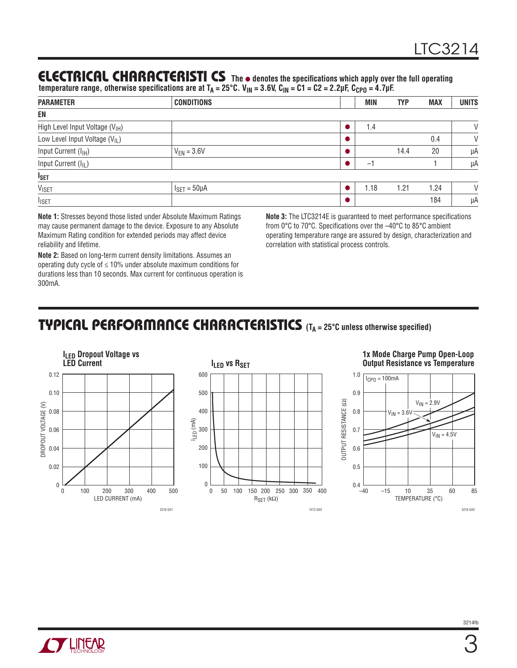# **ELECTRICAL CHARACTERISTI CS** The  $\bullet$  denotes the specifications which apply over the full operating

|  | temperature range, otherwise specifications are at T <sub>A</sub> = 25°C. V <sub>IN</sub> = 3.6V, C <sub>IN</sub> = C1 = C2 = 2.2µF, C <sub>CPO</sub> = 4.7µF. |  |  |  |
|--|----------------------------------------------------------------------------------------------------------------------------------------------------------------|--|--|--|
|  |                                                                                                                                                                |  |  |  |

| <b>PARAMETER</b>                            | <b>CONDITIONS</b>           | <b>MIN</b>        | <b>TYP</b> | <b>MAX</b> | <b>UNITS</b> |
|---------------------------------------------|-----------------------------|-------------------|------------|------------|--------------|
| EN                                          |                             |                   |            |            |              |
| High Level Input Voltage (V <sub>IH</sub> ) |                             | 1.4               |            |            | V            |
| Low Level Input Voltage (V <sub>IL</sub> )  |                             |                   |            | 0.4        | V            |
| Input Current (I <sub>IH</sub> )            | $V_{FN} = 3.6V$             |                   | 14.4       | 20         | μA           |
| Input Current (I <sub>IL</sub> )            |                             | $\qquad \qquad -$ |            |            | μA           |
| <b>I</b> <sub>SET</sub>                     |                             |                   |            |            |              |
| V <sub>ISET</sub>                           | $I_{\text{SET}} = 50 \mu A$ | 1.18              | 1.21       | .24        | V            |
| <b>I</b> <sub>ISET</sub>                    |                             |                   |            | 184        | μA           |

**Note 1:** Stresses beyond those listed under Absolute Maximum Ratings may cause permanent damage to the device. Exposure to any Absolute Maximum Rating condition for extended periods may affect device reliability and lifetime.

**Note 3:** The LTC3214E is guaranteed to meet performance specifications from 0°C to 70°C. Specifications over the -40°C to 85°C ambient operating temperature range are assured by design, characterization and correlation with statistical process controls.

**Note 2:** Based on long-term current density limitations. Assumes an operating duty cycle of  $\leq 10\%$  under absolute maximum conditions for durations less than 10 seconds. Max current for continuous operation is 300mA.

### **TYPICAL PERFORMANCE CHARACTERISTICS (TA = 25°C unless otherwise specifi ed)**





#### **1x Mode Charge Pump Open-Loop Output Resistance vs Temperature**

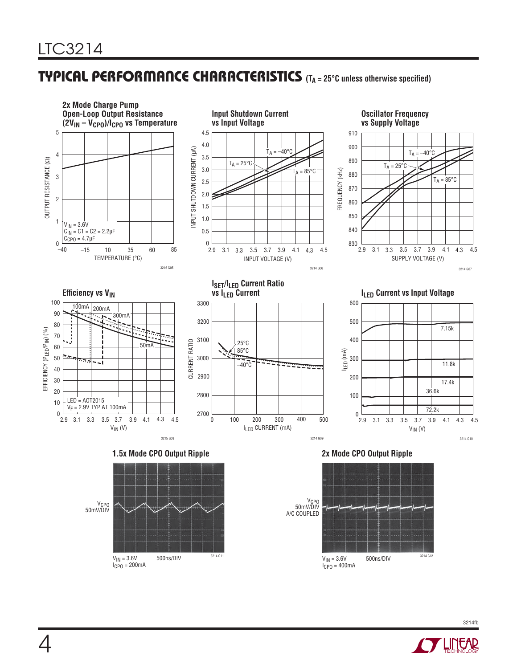### **TYPICAL PERFORMANCE CHARACTERISTICS** (TA = 25°C unless otherwise specified)



 $V_{IN} = 3.6V$  500ns/DIV  $I_{CPO} = 200mA$ 

3214 G11



3214fb

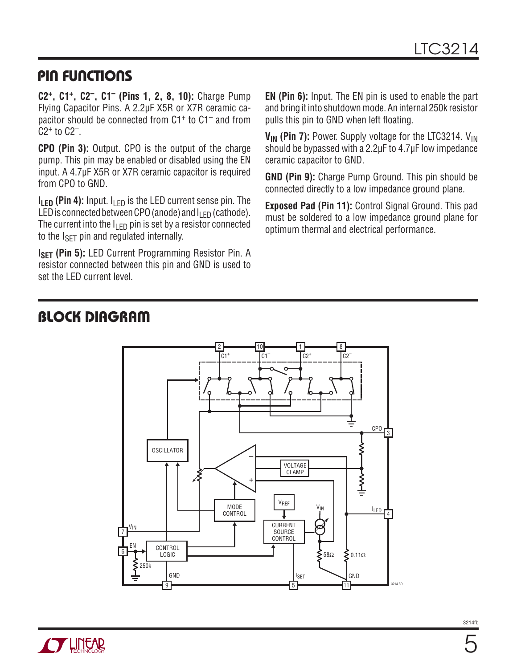### **PIN FUNCTIONS**

**C2+, C1+, C2–, C1– (Pins 1, 2, 8, 10):** Charge Pump Flying Capacitor Pins. A 2.2μF X5R or X7R ceramic capacitor should be connected from C1<sup>+</sup> to C1<sup>-</sup> and from C2+ to C2–.

**CPO (Pin 3):** Output. CPO is the output of the charge pump. This pin may be enabled or disabled using the EN input. A 4.7μF X5R or X7R ceramic capacitor is required from CPO to GND.

 $I_{LED}$  (Pin 4): Input.  $I_{IFD}$  is the LED current sense pin. The LED is connected between CPO (anode) and  $I_{\text{LPD}}$  (cathode). The current into the  $I_{\text{LED}}$  pin is set by a resistor connected to the  $I_{\text{SFT}}$  pin and regulated internally.

**ISFT (Pin 5):** LED Current Programming Resistor Pin. A resistor connected between this pin and GND is used to set the LED current level.

**EN (Pin 6):** Input. The EN pin is used to enable the part and bring it into shutdown mode. An internal 250k resistor pulls this pin to GND when left floating.

**V<sub>IN</sub>** (Pin 7): Power. Supply voltage for the LTC3214. V<sub>IN</sub> should be bypassed with a 2.2μF to 4.7μF low impedance ceramic capacitor to GND.

**GND (Pin 9):** Charge Pump Ground. This pin should be connected directly to a low impedance ground plane.

**Exposed Pad (Pin 11):** Control Signal Ground. This pad must be soldered to a low impedance ground plane for optimum thermal and electrical performance.



# **BLOCK DIAGRAM**

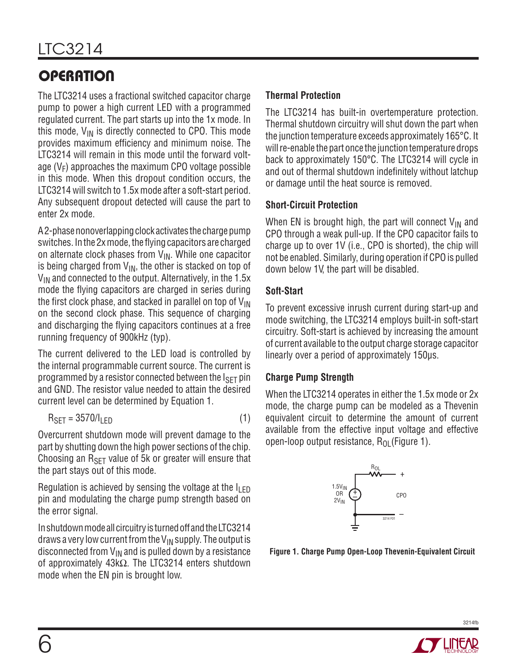# **OPERATION**

The LTC3214 uses a fractional switched capacitor charge pump to power a high current LED with a programmed regulated current. The part starts up into the 1x mode. In this mode,  $V_{IN}$  is directly connected to CPO. This mode provides maximum efficiency and minimum noise. The LTC3214 will remain in this mode until the forward voltage  $(V_F)$  approaches the maximum CPO voltage possible in this mode. When this dropout condition occurs, the LTC3214 will switch to 1.5x mode after a soft-start period. Any subsequent dropout detected will cause the part to enter 2x mode.

A 2-phase nonoverlapping clock activates the charge pump switches. In the 2x mode, the flying capacitors are charged on alternate clock phases from  $V_{\text{IN}}$ . While one capacitor is being charged from  $V_{\text{IN}}$ , the other is stacked on top of  $V_{IN}$  and connected to the output. Alternatively, in the 1.5x mode the flying capacitors are charged in series during the first clock phase, and stacked in parallel on top of  $V_{\text{IN}}$ on the second clock phase. This sequence of charging and discharging the flying capacitors continues at a free running frequency of 900kHz (typ).

The current delivered to the LED load is controlled by the internal programmable current source. The current is programmed by a resistor connected between the  $I_{\text{SFT}}$  pin and GND. The resistor value needed to attain the desired current level can be determined by Equation 1.

$$
R_{\text{SET}} = 3570/I_{\text{LED}}\tag{1}
$$

Overcurrent shutdown mode will prevent damage to the part by shutting down the high power sections of the chip. Choosing an  $R_{SFT}$  value of 5k or greater will ensure that the part stays out of this mode.

Regulation is achieved by sensing the voltage at the  $I_{\text{ED}}$ pin and modulating the charge pump strength based on the error signal.

In shutdown mode all circuitry is turned off and the LTC3214 draws a very low current from the  $V_{IN}$  supply. The output is disconnected from  $V_{IN}$  and is pulled down by a resistance of approximately 43kΩ. The LTC3214 enters shutdown mode when the EN pin is brought low.

#### **Thermal Protection**

The LTC3214 has built-in overtemperature protection. Thermal shutdown circuitry will shut down the part when the junction temperature exceeds approximately 165°C. It will re-enable the part once the junction temperature drops back to approximately 150°C. The LTC3214 will cycle in and out of thermal shutdown indefinitely without latchup or damage until the heat source is removed.

#### **Short-Circuit Protection**

When EN is brought high, the part will connect  $V_{IN}$  and CPO through a weak pull-up. If the CPO capacitor fails to charge up to over 1V (i.e., CPO is shorted), the chip will not be enabled. Similarly, during operation if CPO is pulled down below 1V, the part will be disabled.

#### **Soft-Start**

To prevent excessive inrush current during start-up and mode switching, the LTC3214 employs built-in soft-start circuitry. Soft-start is achieved by increasing the amount of current available to the output charge storage capacitor linearly over a period of approximately 150μs.

#### **Charge Pump Strength**

When the LTC3214 operates in either the 1.5x mode or 2x mode, the charge pump can be modeled as a Thevenin equivalent circuit to determine the amount of current available from the effective input voltage and effective open-loop output resistance,  $R_{OL}$ (Figure 1).



**Figure 1. Charge Pump Open-Loop Thevenin-Equivalent Circuit**



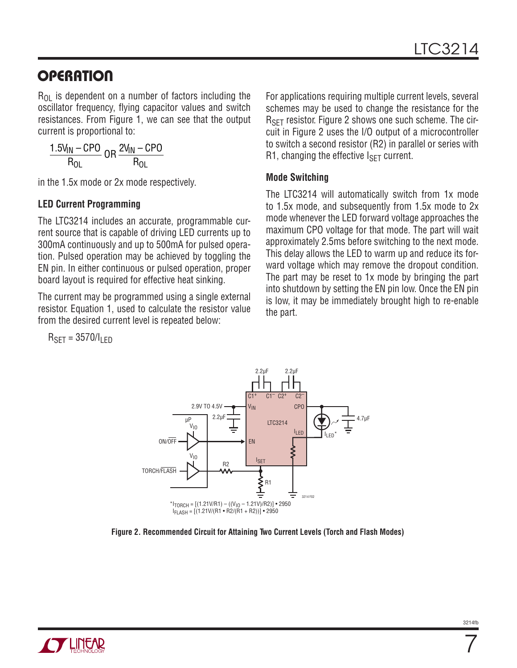### **OPERATION**

 $R_{\text{OL}}$  is dependent on a number of factors including the oscillator frequency, flying capacitor values and switch resistances. From Figure 1, we can see that the output current is proportional to:

$$
\frac{1.5V_{IN} - CPO}{R_{OL}} \text{ OR } \frac{2V_{IN} - CPO}{R_{OL}}
$$

in the 1.5x mode or 2x mode respectively.

#### **LED Current Programming**

The LTC3214 includes an accurate, programmable current source that is capable of driving LED currents up to 300mA continuously and up to 500mA for pulsed operation. Pulsed operation may be achieved by toggling the EN pin. In either continuous or pulsed operation, proper board layout is required for effective heat sinking.

The current may be programmed using a single external resistor. Equation 1, used to calculate the resistor value from the desired current level is repeated below:

For applications requiring multiple current levels, several schemes may be used to change the resistance for the  $R_{\text{SFT}}$  resistor. Figure 2 shows one such scheme. The circuit in Figure 2 uses the I/O output of a microcontroller to switch a second resistor (R2) in parallel or series with R1, changing the effective  $I_{\text{SFT}}$  current.

#### **Mode Switching**

The LTC3214 will automatically switch from 1x mode to 1.5x mode, and subsequently from 1.5x mode to 2x mode whenever the LED forward voltage approaches the maximum CPO voltage for that mode. The part will wait approximately 2.5ms before switching to the next mode. This delay allows the LED to warm up and reduce its forward voltage which may remove the dropout condition. The part may be reset to 1x mode by bringing the part into shutdown by setting the EN pin low. Once the EN pin is low, it may be immediately brought high to re-enable the part.

 $R_{SFT} = 3570/l_{FID}$ 



**Figure 2. Recommended Circuit for Attaining Two Current Levels (Torch and Flash Modes)**

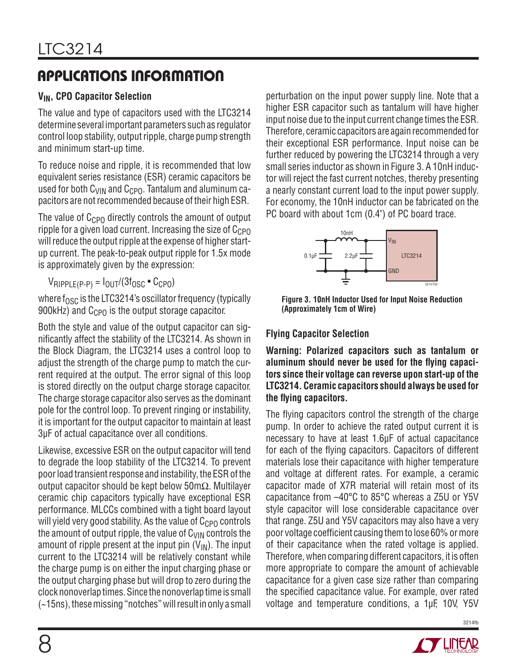# **APPLICATIONS INFORMATION**

#### **VIN, CPO Capacitor Selection**

The value and type of capacitors used with the LTC3214 determine several important parameters such as regulator control loop stability, output ripple, charge pump strength and minimum start-up time.

To reduce noise and ripple, it is recommended that low equivalent series resistance (ESR) ceramic capacitors be used for both  $C_{VIN}$  and  $C_{CPO}$ . Tantalum and aluminum capacitors are not recommended because of their high ESR.

The value of  $C_{CPO}$  directly controls the amount of output ripple for a given load current. Increasing the size of  $C_{CPO}$ will reduce the output ripple at the expense of higher startup current. The peak-to-peak output ripple for 1.5x mode is approximately given by the expression:

 $V_{RIPPLE(P-P)} = I_{OUT}/(3f_{OSC} \cdot C_{CPO})$ 

where  $f_{\rm OSC}$  is the LTC3214's oscillator frequency (typically 900kHz) and  $C_{CPO}$  is the output storage capacitor.

Both the style and value of the output capacitor can significantly affect the stability of the LTC3214. As shown in the Block Diagram, the LTC3214 uses a control loop to adjust the strength of the charge pump to match the current required at the output. The error signal of this loop is stored directly on the output charge storage capacitor. The charge storage capacitor also serves as the dominant pole for the control loop. To prevent ringing or instability, it is important for the output capacitor to maintain at least 3μF of actual capacitance over all conditions.

Likewise, excessive ESR on the output capacitor will tend to degrade the loop stability of the LTC3214. To prevent poor load transient response and instability, the ESR of the output capacitor should be kept below 50mΩ. Multilayer ceramic chip capacitors typically have exceptional ESR performance. MLCCs combined with a tight board layout will yield very good stability. As the value of  $C<sub>CPO</sub>$  controls the amount of output ripple, the value of  $C_{V}$ <sub>IN</sub> controls the amount of ripple present at the input pin  $(V_{\text{IN}})$ . The input current to the LTC3214 will be relatively constant while the charge pump is on either the input charging phase or the output charging phase but will drop to zero during the clock nonoverlap times. Since the nonoverlap time is small (~15ns), these missing "notches" will result in only a small perturbation on the input power supply line. Note that a higher ESR capacitor such as tantalum will have higher input noise due to the input current change times the ESR. Therefore, ceramic capacitors are again recommended for their exceptional ESR performance. Input noise can be further reduced by powering the LTC3214 through a very small series inductor as shown in Figure 3. A 10nH inductor will reject the fast current notches, thereby presenting a nearly constant current load to the input power supply. For economy, the 10nH inductor can be fabricated on the PC board with about 1cm (0.4") of PC board trace.



**Figure 3. 10nH Inductor Used for Input Noise Reduction (Approximately 1cm of Wire)**

#### **Flying Capacitor Selection**

**Warning: Polarized capacitors such as tantalum or**  aluminum should never be used for the flying capaci**tors since their voltage can reverse upon start-up of the LTC3214. Ceramic capacitors should always be used for**  the flying capacitors.

The flying capacitors control the strength of the charge pump. In order to achieve the rated output current it is necessary to have at least 1.6μF of actual capacitance for each of the flying capacitors. Capacitors of different materials lose their capacitance with higher temperature and voltage at different rates. For example, a ceramic capacitor made of X7R material will retain most of its capacitance from –40°C to 85°C whereas a Z5U or Y5V style capacitor will lose considerable capacitance over that range. Z5U and Y5V capacitors may also have a very poor voltage coefficient causing them to lose 60% or more of their capacitance when the rated voltage is applied. Therefore, when comparing different capacitors, it is often more appropriate to compare the amount of achievable capacitance for a given case size rather than comparing the specified capacitance value. For example, over rated voltage and temperature conditions, a 1μF, 10V, Y5V



3214fb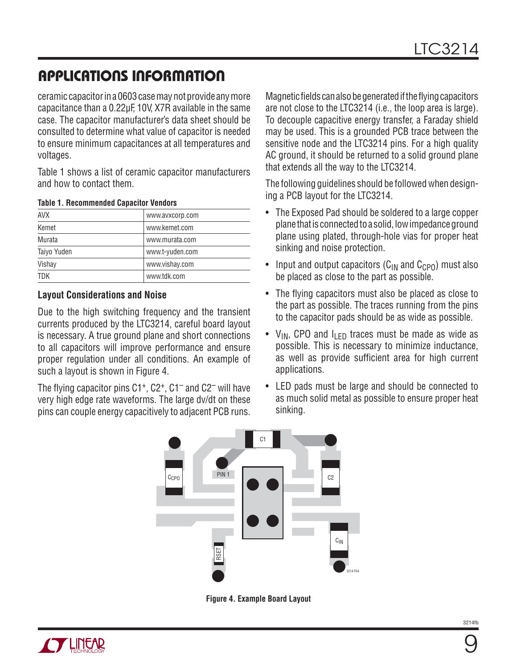# **APPLICATIONS INFORMATION**

ceramic capacitor in a 0603 case may not provide any more capacitance than a 0.22μF, 10V, X7R available in the same case. The capacitor manufacturer's data sheet should be consulted to determine what value of capacitor is needed to ensure minimum capacitances at all temperatures and voltages.

Table 1 shows a list of ceramic capacitor manufacturers and how to contact them.

| <b>AVX</b>  | www.avxcorp.com |
|-------------|-----------------|
| Kemet       | www.kemet.com   |
| Murata      | www.murata.com  |
| Taiyo Yuden | www.t-yuden.com |
| Vishay      | www.vishay.com  |
| TDK         | www.tdk.com     |

#### **Layout Considerations and Noise**

Due to the high switching frequency and the transient currents produced by the LTC3214, careful board layout is necessary. A true ground plane and short connections to all capacitors will improve performance and ensure proper regulation under all conditions. An example of such a layout is shown in Figure 4.

The flying capacitor pins  $C1^+$ ,  $C2^+$ ,  $C1^-$  and  $C2^-$  will have very high edge rate waveforms. The large dv/dt on these pins can couple energy capacitively to adjacent PCB runs. Magnetic fields can also be generated if the flying capacitors are not close to the LTC3214 (i.e., the loop area is large). To decouple capacitive energy transfer, a Faraday shield may be used. This is a grounded PCB trace between the sensitive node and the LTC3214 pins. For a high quality AC ground, it should be returned to a solid ground plane that extends all the way to the LTC3214.

The following guidelines should be followed when designing a PCB layout for the LTC3214.

- The Exposed Pad should be soldered to a large copper plane that is connected to a solid, low impedance ground plane using plated, through-hole vias for proper heat sinking and noise protection.
- Input and output capacitors  $(C_{1N}$  and  $C_{CPO}$ ) must also be placed as close to the part as possible.
- The flying capacitors must also be placed as close to the part as possible. The traces running from the pins to the capacitor pads should be as wide as possible.
- $V_{IN}$ , CPO and  $I_{I}F_D$  traces must be made as wide as possible. This is necessary to minimize inductance, as well as provide sufficient area for high current applications.
- LED pads must be large and should be connected to as much solid metal as possible to ensure proper heat sinking.



**Figure 4. Example Board Layout**

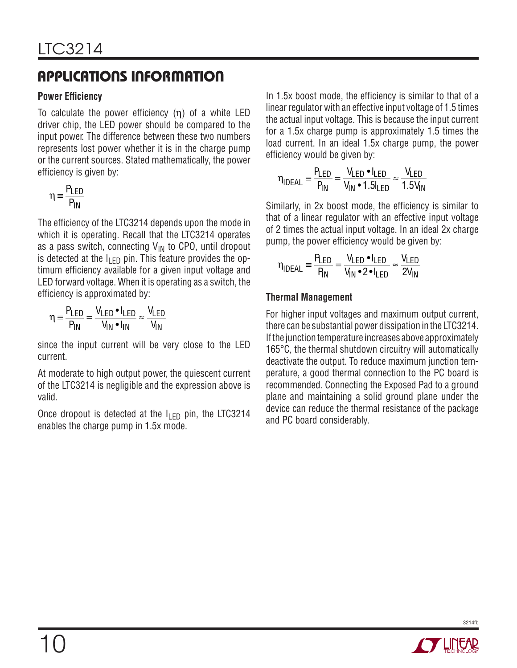# **APPLICATIONS INFORMATION**

#### **Power Efficiency**

To calculate the power efficiency  $(\eta)$  of a white LED driver chip, the LED power should be compared to the input power. The difference between these two numbers represents lost power whether it is in the charge pump or the current sources. Stated mathematically, the power efficiency is given by:

$$
\eta \equiv \frac{P_{LED}}{P_{IN}}
$$

The efficiency of the LTC3214 depends upon the mode in which it is operating. Recall that the LTC3214 operates as a pass switch, connecting  $V_{IN}$  to CPO, until dropout is detected at the  $I_{LED}$  pin. This feature provides the optimum efficiency available for a given input voltage and LED forward voltage. When it is operating as a switch, the efficiency is approximated by:

$$
\eta = \frac{P_{LED}}{P_{IN}} = \frac{V_{LED} \cdot I_{LED}}{V_{IN} \cdot I_{IN}} \approx \frac{V_{LED}}{V_{IN}}
$$

since the input current will be very close to the LED current.

At moderate to high output power, the quiescent current of the LTC3214 is negligible and the expression above is valid.

Once dropout is detected at the  $I_{\text{LED}}$  pin, the LTC3214 enables the charge pump in 1.5x mode.

In 1.5x boost mode, the efficiency is similar to that of a linear regulator with an effective input voltage of 1.5 times the actual input voltage. This is because the input current for a 1.5x charge pump is approximately 1.5 times the load current. In an ideal 1.5x charge pump, the power efficiency would be given by:

$$
\eta_{\text{IDEAL}} \equiv \frac{P_{\text{LED}}}{P_{\text{IN}}} = \frac{V_{\text{LED}} \cdot I_{\text{LED}}}{V_{\text{IN}} \cdot 1.5 I_{\text{LED}}} \approx \frac{V_{\text{LED}}}{1.5 V_{\text{IN}}}
$$

Similarly, in 2x boost mode, the efficiency is similar to that of a linear regulator with an effective input voltage of 2 times the actual input voltage. In an ideal 2x charge pump, the power efficiency would be given by:

$$
\eta_{\text{IDEAL}} \equiv \frac{P_{\text{LED}}}{P_{\text{IN}}} = \frac{V_{\text{LED}} \cdot I_{\text{LED}}}{V_{\text{IN}} \cdot 2 \cdot I_{\text{LED}}} \approx \frac{V_{\text{LED}}}{2V_{\text{IN}}}
$$

#### **Thermal Management**

For higher input voltages and maximum output current, there can be substantial power dissipation in the LTC3214. If the junction temperature increases above approximately 165°C, the thermal shutdown circuitry will automatically deactivate the output. To reduce maximum junction temperature, a good thermal connection to the PC board is recommended. Connecting the Exposed Pad to a ground plane and maintaining a solid ground plane under the device can reduce the thermal resistance of the package and PC board considerably.



3214fb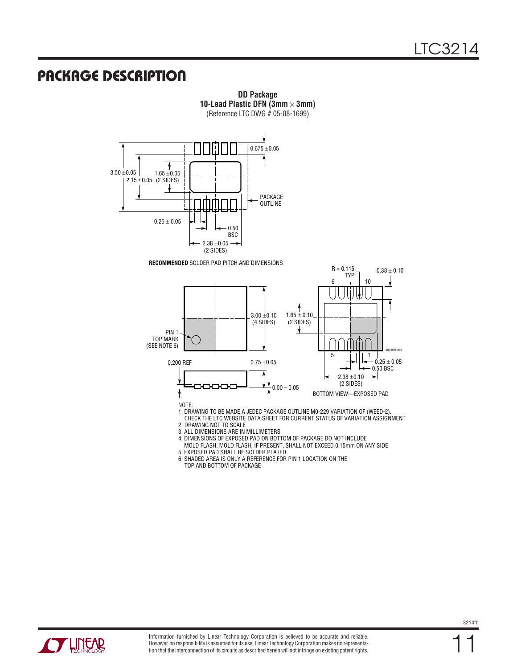### **PACKAGE DESCRIPTION**



**DD Package 10-Lead Plastic DFN (3mm** × **3mm)**

 MOLD FLASH. MOLD FLASH, IF PRESENT, SHALL NOT EXCEED 0.15mm ON ANY SIDE 5. EXPOSED PAD SHALL BE SOLDER PLATED

6. SHADED AREA IS ONLY A REFERENCE FOR PIN 1 LOCATION ON THE TOP AND BOTTOM OF PACKAGE